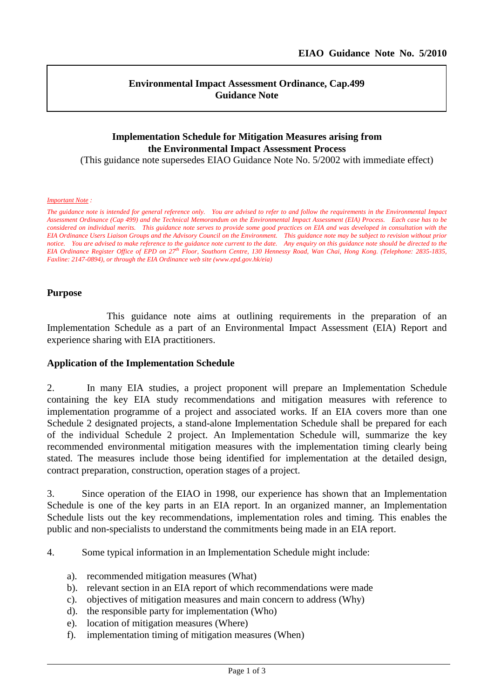### **Environmental Impact Assessment Ordinance, Cap.499 Guidance Note**

# **Implementation Schedule for Mitigation Measures arising from the Environmental Impact Assessment Process**

(This guidance note supersedes EIAO Guidance Note No. 5/2002 with immediate effect)

#### *Important Note :*

*The guidance note is intended for general reference only. You are advised to refer to and follow the requirements in the Environmental Impact Assessment Ordinance (Cap 499) and the Technical Memorandum on the Environmental Impact Assessment (EIA) Process. Each case has to be considered on individual merits. This guidance note serves to provide some good practices on EIA and was developed in consultation with the EIA Ordinance Users Liaison Groups and the Advisory Council on the Environment. This guidance note may be subject to revision without prior notice. You are advised to make reference to the guidance note current to the date. Any enquiry on this guidance note should be directed to the EIA Ordinance Register Office of EPD on 27th Floor, Southorn Centre, 130 Hennessy Road, Wan Chai, Hong Kong. (Telephone: 2835-1835, Faxline: 2147-0894), or through the EIA Ordinance web site (www.epd.gov.hk/eia)*

#### **Purpose**

This guidance note aims at outlining requirements in the preparation of an Implementation Schedule as a part of an Environmental Impact Assessment (EIA) Report and experience sharing with EIA practitioners.

#### **Application of the Implementation Schedule**

2. In many EIA studies, a project proponent will prepare an Implementation Schedule containing the key EIA study recommendations and mitigation measures with reference to implementation programme of a project and associated works. If an EIA covers more than one Schedule 2 designated projects, a stand-alone Implementation Schedule shall be prepared for each of the individual Schedule 2 project. An Implementation Schedule will, summarize the key recommended environmental mitigation measures with the implementation timing clearly being stated. The measures include those being identified for implementation at the detailed design, contract preparation, construction, operation stages of a project.

3. Since operation of the EIAO in 1998, our experience has shown that an Implementation Schedule is one of the key parts in an EIA report. In an organized manner, an Implementation Schedule lists out the key recommendations, implementation roles and timing. This enables the public and non-specialists to understand the commitments being made in an EIA report.

4. Some typical information in an Implementation Schedule might include:

- a). recommended mitigation measures (What)
- b). relevant section in an EIA report of which recommendations were made
- c). objectives of mitigation measures and main concern to address (Why)
- d). the responsible party for implementation (Who)
- e). location of mitigation measures (Where)
- f). implementation timing of mitigation measures (When)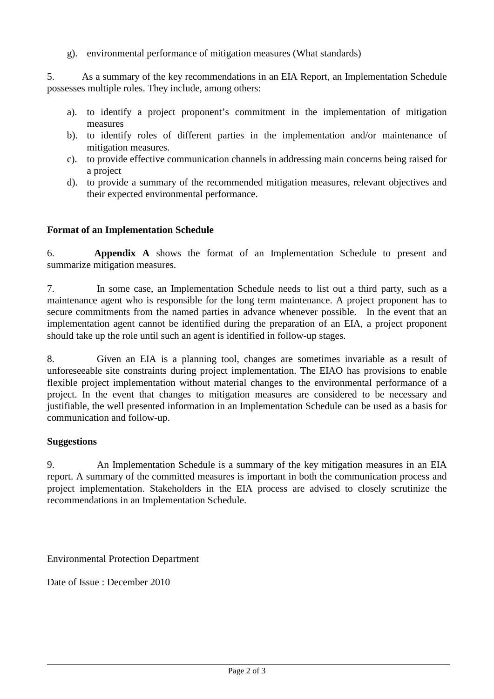g). environmental performance of mitigation measures (What standards)

5. As a summary of the key recommendations in an EIA Report, an Implementation Schedule possesses multiple roles. They include, among others:

- a). to identify a project proponent's commitment in the implementation of mitigation measures
- b). to identify roles of different parties in the implementation and/or maintenance of mitigation measures.
- c). to provide effective communication channels in addressing main concerns being raised for a project
- d). to provide a summary of the recommended mitigation measures, relevant objectives and their expected environmental performance.

# **Format of an Implementation Schedule**

6. **Appendix A** shows the format of an Implementation Schedule to present and summarize mitigation measures.

7. In some case, an Implementation Schedule needs to list out a third party, such as a maintenance agent who is responsible for the long term maintenance. A project proponent has to secure commitments from the named parties in advance whenever possible. In the event that an implementation agent cannot be identified during the preparation of an EIA, a project proponent should take up the role until such an agent is identified in follow-up stages.

8. Given an EIA is a planning tool, changes are sometimes invariable as a result of unforeseeable site constraints during project implementation. The EIAO has provisions to enable flexible project implementation without material changes to the environmental performance of a project. In the event that changes to mitigation measures are considered to be necessary and justifiable, the well presented information in an Implementation Schedule can be used as a basis for communication and follow-up.

### **Suggestions**

9. An Implementation Schedule is a summary of the key mitigation measures in an EIA report. A summary of the committed measures is important in both the communication process and project implementation. Stakeholders in the EIA process are advised to closely scrutinize the recommendations in an Implementation Schedule.

Environmental Protection Department

Date of Issue : December 2010